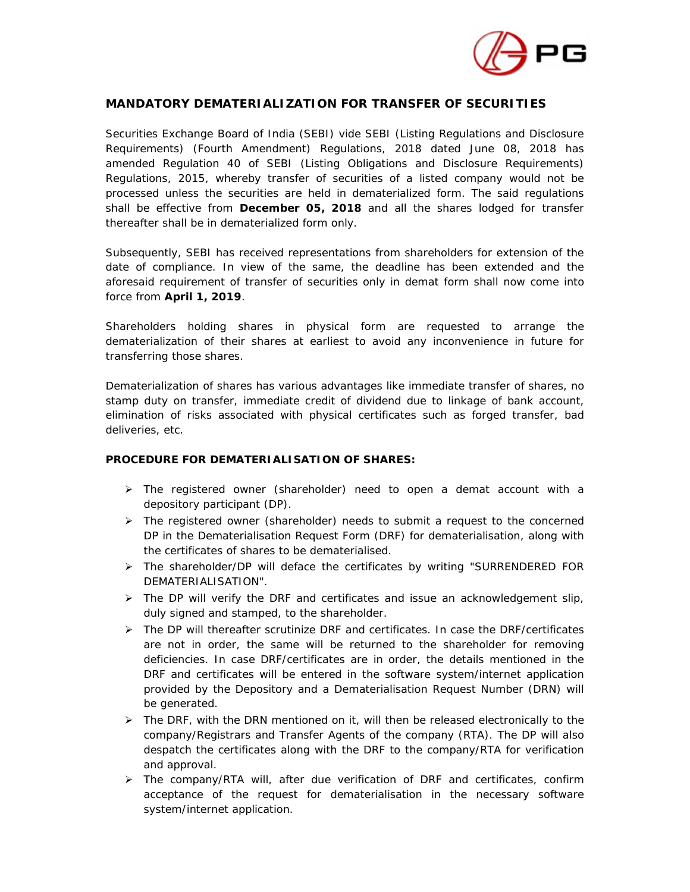

## **MANDATORY DEMATERIALIZATION FOR TRANSFER OF SECURITIES**

Securities Exchange Board of India (SEBI) vide SEBI (Listing Regulations and Disclosure Requirements) (Fourth Amendment) Regulations, 2018 dated June 08, 2018 has amended Regulation 40 of SEBI (Listing Obligations and Disclosure Requirements) Regulations, 2015, whereby transfer of securities of a listed company would not be processed unless the securities are held in dematerialized form. The said regulations shall be effective from **December 05, 2018** and all the shares lodged for transfer thereafter shall be in dematerialized form only.

Subsequently, SEBI has received representations from shareholders for extension of the date of compliance. In view of the same, the deadline has been extended and the aforesaid requirement of transfer of securities only in demat form shall now come into force from **April 1, 2019**.

Shareholders holding shares in physical form are requested to arrange the dematerialization of their shares at earliest to avoid any inconvenience in future for transferring those shares.

Dematerialization of shares has various advantages like immediate transfer of shares, no stamp duty on transfer, immediate credit of dividend due to linkage of bank account, elimination of risks associated with physical certificates such as forged transfer, bad deliveries, etc.

## **PROCEDURE FOR DEMATERIALISATION OF SHARES:**

- $\triangleright$  The registered owner (shareholder) need to open a demat account with a depository participant (DP).
- $\triangleright$  The registered owner (shareholder) needs to submit a request to the concerned DP in the Dematerialisation Request Form (DRF) for dematerialisation, along with the certificates of shares to be dematerialised.
- The shareholder/DP will deface the certificates by writing "SURRENDERED FOR DEMATERIALISATION".
- $\triangleright$  The DP will verify the DRF and certificates and issue an acknowledgement slip, duly signed and stamped, to the shareholder.
- $\triangleright$  The DP will thereafter scrutinize DRF and certificates. In case the DRF/certificates are not in order, the same will be returned to the shareholder for removing deficiencies. In case DRF/certificates are in order, the details mentioned in the DRF and certificates will be entered in the software system/internet application provided by the Depository and a Dematerialisation Request Number (DRN) will be generated.
- $\triangleright$  The DRF, with the DRN mentioned on it, will then be released electronically to the company/Registrars and Transfer Agents of the company (RTA). The DP will also despatch the certificates along with the DRF to the company/RTA for verification and approval.
- $\triangleright$  The company/RTA will, after due verification of DRF and certificates, confirm acceptance of the request for dematerialisation in the necessary software system/internet application.